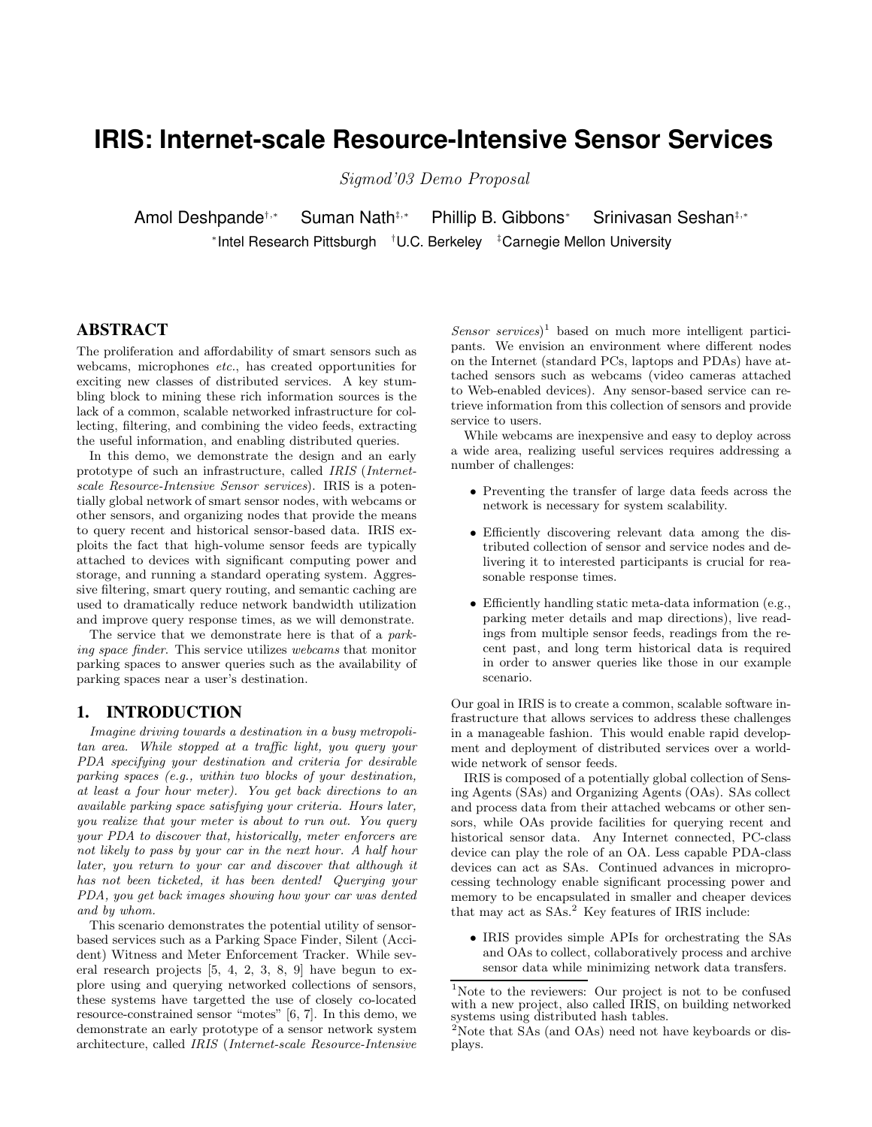# **IRIS: Internet-scale Resource-Intensive Sensor Services**

Sigmod'03 Demo Proposal

Amol Deshpande†,<sup>∗</sup> Suman Nath‡,<sup>∗</sup> Phillip B. Gibbons<sup>∗</sup> Srinivasan Seshan‡,<sup>∗</sup> ∗ Intel Research Pittsburgh †U.C. Berkeley ‡Carnegie Mellon University

# **ABSTRACT**

The proliferation and affordability of smart sensors such as webcams, microphones etc., has created opportunities for exciting new classes of distributed services. A key stumbling block to mining these rich information sources is the lack of a common, scalable networked infrastructure for collecting, filtering, and combining the video feeds, extracting the useful information, and enabling distributed queries.

In this demo, we demonstrate the design and an early prototype of such an infrastructure, called IRIS (Internetscale Resource-Intensive Sensor services). IRIS is a potentially global network of smart sensor nodes, with webcams or other sensors, and organizing nodes that provide the means to query recent and historical sensor-based data. IRIS exploits the fact that high-volume sensor feeds are typically attached to devices with significant computing power and storage, and running a standard operating system. Aggressive filtering, smart query routing, and semantic caching are used to dramatically reduce network bandwidth utilization and improve query response times, as we will demonstrate.

The service that we demonstrate here is that of a parking space finder. This service utilizes webcams that monitor parking spaces to answer queries such as the availability of parking spaces near a user's destination.

## **1. INTRODUCTION**

Imagine driving towards a destination in a busy metropolitan area. While stopped at a traffic light, you query your PDA specifying your destination and criteria for desirable parking spaces (e.g., within two blocks of your destination, at least a four hour meter). You get back directions to an available parking space satisfying your criteria. Hours later, you realize that your meter is about to run out. You query your PDA to discover that, historically, meter enforcers are not likely to pass by your car in the next hour. A half hour later, you return to your car and discover that although it has not been ticketed, it has been dented! Querying your PDA, you get back images showing how your car was dented and by whom.

This scenario demonstrates the potential utility of sensorbased services such as a Parking Space Finder, Silent (Accident) Witness and Meter Enforcement Tracker. While several research projects [5, 4, 2, 3, 8, 9] have begun to explore using and querying networked collections of sensors, these systems have targetted the use of closely co-located resource-constrained sensor "motes" [6, 7]. In this demo, we demonstrate an early prototype of a sensor network system architecture, called IRIS (Internet-scale Resource-Intensive

 $Sensor\,\, services$ <sup>1</sup> based on much more intelligent participants. We envision an environment where different nodes on the Internet (standard PCs, laptops and PDAs) have attached sensors such as webcams (video cameras attached to Web-enabled devices). Any sensor-based service can retrieve information from this collection of sensors and provide service to users.

While webcams are inexpensive and easy to deploy across a wide area, realizing useful services requires addressing a number of challenges:

- Preventing the transfer of large data feeds across the network is necessary for system scalability.
- Efficiently discovering relevant data among the distributed collection of sensor and service nodes and delivering it to interested participants is crucial for reasonable response times.
- Efficiently handling static meta-data information (e.g., parking meter details and map directions), live readings from multiple sensor feeds, readings from the recent past, and long term historical data is required in order to answer queries like those in our example scenario.

Our goal in IRIS is to create a common, scalable software infrastructure that allows services to address these challenges in a manageable fashion. This would enable rapid development and deployment of distributed services over a worldwide network of sensor feeds.

IRIS is composed of a potentially global collection of Sensing Agents (SAs) and Organizing Agents (OAs). SAs collect and process data from their attached webcams or other sensors, while OAs provide facilities for querying recent and historical sensor data. Any Internet connected, PC-class device can play the role of an OA. Less capable PDA-class devices can act as SAs. Continued advances in microprocessing technology enable significant processing power and memory to be encapsulated in smaller and cheaper devices that may act as SAs.<sup>2</sup> Key features of IRIS include:

• IRIS provides simple APIs for orchestrating the SAs and OAs to collect, collaboratively process and archive sensor data while minimizing network data transfers.

<sup>&</sup>lt;sup>1</sup>Note to the reviewers: Our project is not to be confused with a new project, also called IRIS, on building networked systems using distributed hash tables.

 $2$ Note that SAs (and OAs) need not have keyboards or displays.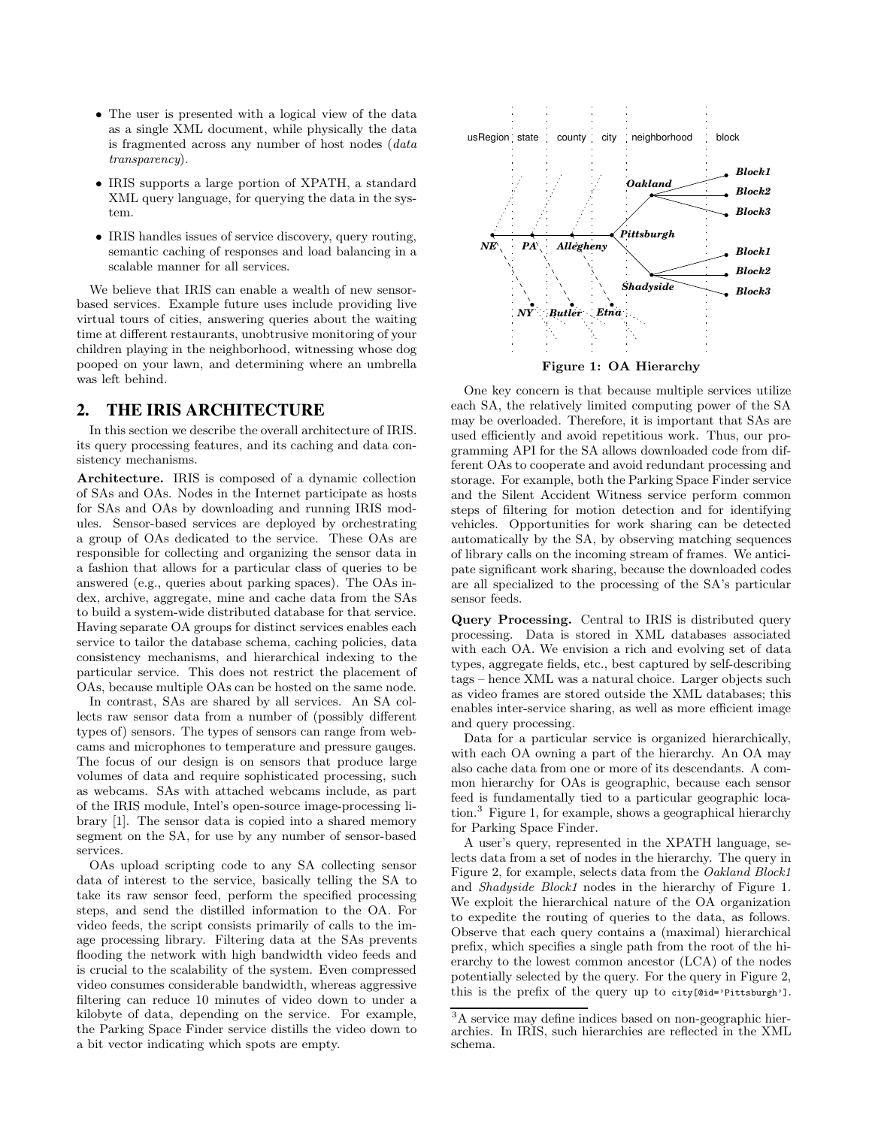- The user is presented with a logical view of the data as a single XML document, while physically the data is fragmented across any number of host nodes (data transparency).
- IRIS supports a large portion of XPATH, a standard XML query language, for querying the data in the system.
- IRIS handles issues of service discovery, query routing, semantic caching of responses and load balancing in a scalable manner for all services.

We believe that IRIS can enable a wealth of new sensorbased services. Example future uses include providing live virtual tours of cities, answering queries about the waiting time at different restaurants, unobtrusive monitoring of your children playing in the neighborhood, witnessing whose dog pooped on your lawn, and determining where an umbrella was left behind.

#### **2. THE IRIS ARCHITECTURE**

In this section we describe the overall architecture of IRIS. its query processing features, and its caching and data consistency mechanisms.

Architecture. IRIS is composed of a dynamic collection of SAs and OAs. Nodes in the Internet participate as hosts for SAs and OAs by downloading and running IRIS modules. Sensor-based services are deployed by orchestrating a group of OAs dedicated to the service. These OAs are responsible for collecting and organizing the sensor data in a fashion that allows for a particular class of queries to be answered (e.g., queries about parking spaces). The OAs index, archive, aggregate, mine and cache data from the SAs to build a system-wide distributed database for that service. Having separate OA groups for distinct services enables each service to tailor the database schema, caching policies, data consistency mechanisms, and hierarchical indexing to the particular service. This does not restrict the placement of OAs, because multiple OAs can be hosted on the same node.

In contrast, SAs are shared by all services. An SA collects raw sensor data from a number of (possibly different types of) sensors. The types of sensors can range from webcams and microphones to temperature and pressure gauges. The focus of our design is on sensors that produce large volumes of data and require sophisticated processing, such as webcams. SAs with attached webcams include, as part of the IRIS module, Intel's open-source image-processing library [1]. The sensor data is copied into a shared memory segment on the SA, for use by any number of sensor-based services.

OAs upload scripting code to any SA collecting sensor data of interest to the service, basically telling the SA to take its raw sensor feed, perform the specified processing steps, and send the distilled information to the OA. For video feeds, the script consists primarily of calls to the image processing library. Filtering data at the SAs prevents flooding the network with high bandwidth video feeds and is crucial to the scalability of the system. Even compressed video consumes considerable bandwidth, whereas aggressive filtering can reduce 10 minutes of video down to under a kilobyte of data, depending on the service. For example, the Parking Space Finder service distills the video down to a bit vector indicating which spots are empty.



Figure 1: OA Hierarchy

One key concern is that because multiple services utilize each SA, the relatively limited computing power of the SA may be overloaded. Therefore, it is important that SAs are used efficiently and avoid repetitious work. Thus, our programming API for the SA allows downloaded code from different OAs to cooperate and avoid redundant processing and storage. For example, both the Parking Space Finder service and the Silent Accident Witness service perform common steps of filtering for motion detection and for identifying vehicles. Opportunities for work sharing can be detected automatically by the SA, by observing matching sequences of library calls on the incoming stream of frames. We anticipate significant work sharing, because the downloaded codes are all specialized to the processing of the SA's particular sensor feeds.

Query Processing. Central to IRIS is distributed query processing. Data is stored in XML databases associated with each OA. We envision a rich and evolving set of data types, aggregate fields, etc., best captured by self-describing tags – hence XML was a natural choice. Larger objects such as video frames are stored outside the XML databases; this enables inter-service sharing, as well as more efficient image and query processing.

Data for a particular service is organized hierarchically, with each OA owning a part of the hierarchy. An OA may also cache data from one or more of its descendants. A common hierarchy for OAs is geographic, because each sensor feed is fundamentally tied to a particular geographic location.<sup>3</sup> Figure 1, for example, shows a geographical hierarchy for Parking Space Finder.

A user's query, represented in the XPATH language, selects data from a set of nodes in the hierarchy. The query in Figure 2, for example, selects data from the Oakland Block1 and Shadyside Block1 nodes in the hierarchy of Figure 1. We exploit the hierarchical nature of the OA organization to expedite the routing of queries to the data, as follows. Observe that each query contains a (maximal) hierarchical prefix, which specifies a single path from the root of the hierarchy to the lowest common ancestor (LCA) of the nodes potentially selected by the query. For the query in Figure 2, this is the prefix of the query up to city[@id='Pittsburgh'].

<sup>3</sup>A service may define indices based on non-geographic hierarchies. In IRIS, such hierarchies are reflected in the XML schema.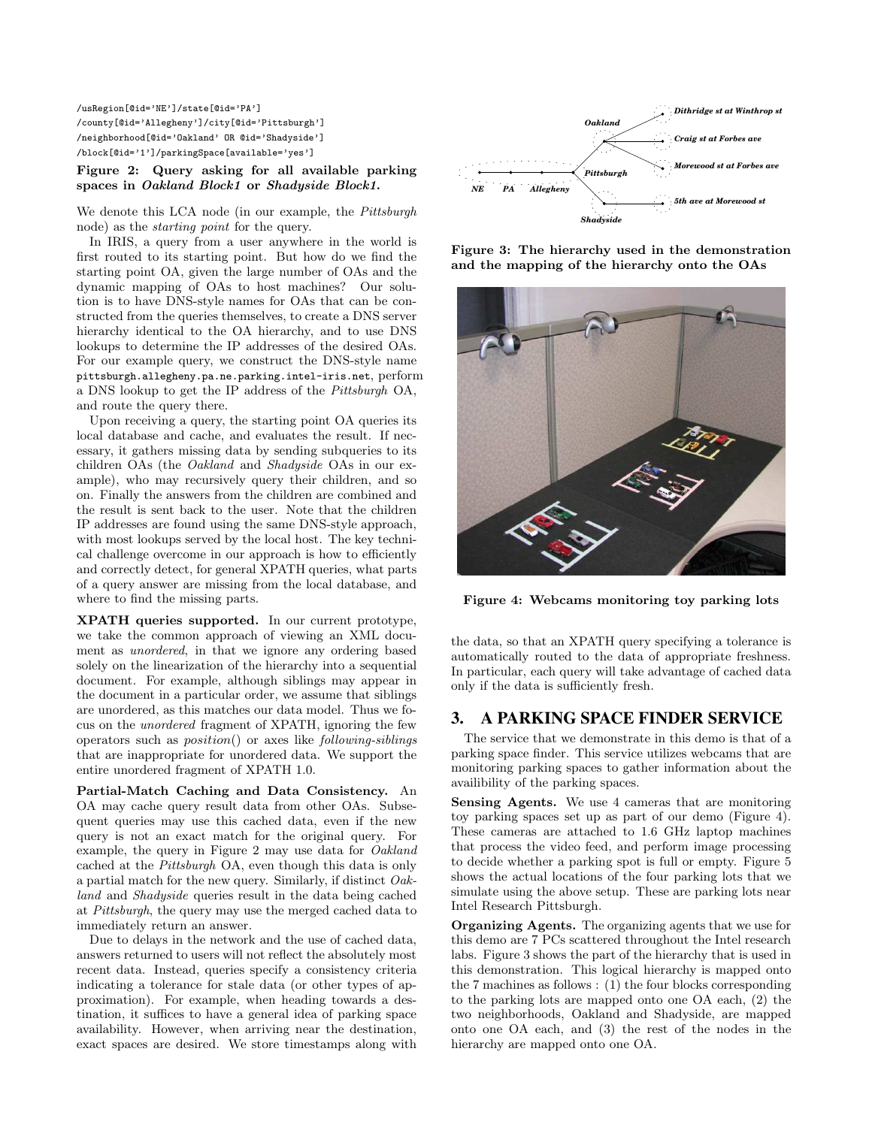/usRegion[@id='NE']/state[@id='PA'] /county[@id='Allegheny']/city[@id='Pittsburgh'] /neighborhood[@id='Oakland' OR @id='Shadyside'] /block[@id='1']/parkingSpace[available='yes']

Figure 2: Query asking for all available parking spaces in Oakland Block1 or Shadyside Block1.

We denote this LCA node (in our example, the Pittsburgh node) as the starting point for the query.

In IRIS, a query from a user anywhere in the world is first routed to its starting point. But how do we find the starting point OA, given the large number of OAs and the dynamic mapping of OAs to host machines? Our solution is to have DNS-style names for OAs that can be constructed from the queries themselves, to create a DNS server hierarchy identical to the OA hierarchy, and to use DNS lookups to determine the IP addresses of the desired OAs. For our example query, we construct the DNS-style name pittsburgh.allegheny.pa.ne.parking.intel-iris.net, perform a DNS lookup to get the IP address of the Pittsburgh OA, and route the query there.

Upon receiving a query, the starting point OA queries its local database and cache, and evaluates the result. If necessary, it gathers missing data by sending subqueries to its children OAs (the Oakland and Shadyside OAs in our example), who may recursively query their children, and so on. Finally the answers from the children are combined and the result is sent back to the user. Note that the children IP addresses are found using the same DNS-style approach, with most lookups served by the local host. The key technical challenge overcome in our approach is how to efficiently and correctly detect, for general XPATH queries, what parts of a query answer are missing from the local database, and where to find the missing parts.

XPATH queries supported. In our current prototype, we take the common approach of viewing an XML document as unordered, in that we ignore any ordering based solely on the linearization of the hierarchy into a sequential document. For example, although siblings may appear in the document in a particular order, we assume that siblings are unordered, as this matches our data model. Thus we focus on the unordered fragment of XPATH, ignoring the few operators such as position() or axes like following-siblings that are inappropriate for unordered data. We support the entire unordered fragment of XPATH 1.0.

Partial-Match Caching and Data Consistency. An OA may cache query result data from other OAs. Subsequent queries may use this cached data, even if the new query is not an exact match for the original query. For example, the query in Figure 2 may use data for Oakland cached at the Pittsburgh OA, even though this data is only a partial match for the new query. Similarly, if distinct Oakland and Shadyside queries result in the data being cached at Pittsburgh, the query may use the merged cached data to immediately return an answer.

Due to delays in the network and the use of cached data, answers returned to users will not reflect the absolutely most recent data. Instead, queries specify a consistency criteria indicating a tolerance for stale data (or other types of approximation). For example, when heading towards a destination, it suffices to have a general idea of parking space availability. However, when arriving near the destination, exact spaces are desired. We store timestamps along with



Figure 3: The hierarchy used in the demonstration and the mapping of the hierarchy onto the OAs



Figure 4: Webcams monitoring toy parking lots

the data, so that an XPATH query specifying a tolerance is automatically routed to the data of appropriate freshness. In particular, each query will take advantage of cached data only if the data is sufficiently fresh.

### **3. A PARKING SPACE FINDER SERVICE**

The service that we demonstrate in this demo is that of a parking space finder. This service utilizes webcams that are monitoring parking spaces to gather information about the availibility of the parking spaces.

Sensing Agents. We use 4 cameras that are monitoring toy parking spaces set up as part of our demo (Figure 4). These cameras are attached to 1.6 GHz laptop machines that process the video feed, and perform image processing to decide whether a parking spot is full or empty. Figure 5 shows the actual locations of the four parking lots that we simulate using the above setup. These are parking lots near Intel Research Pittsburgh.

Organizing Agents. The organizing agents that we use for this demo are 7 PCs scattered throughout the Intel research labs. Figure 3 shows the part of the hierarchy that is used in this demonstration. This logical hierarchy is mapped onto the 7 machines as follows : (1) the four blocks corresponding to the parking lots are mapped onto one OA each, (2) the two neighborhoods, Oakland and Shadyside, are mapped onto one OA each, and (3) the rest of the nodes in the hierarchy are mapped onto one OA.